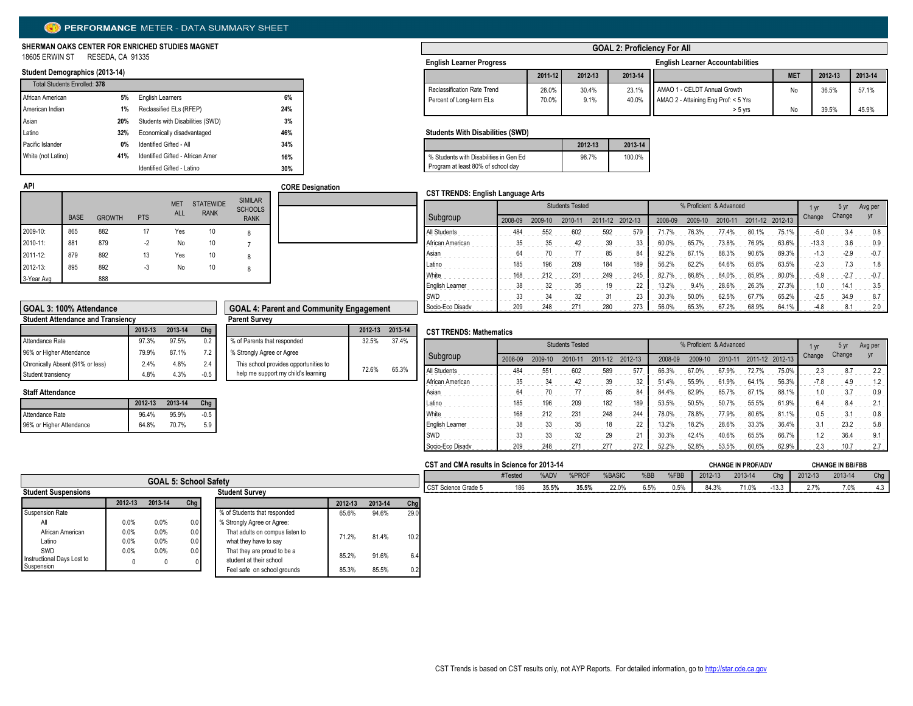# PERFORMANCE METER - DATA SUMMARY SHEET

#### **SHERMAN OAKS CENTER FOR ENRICHED STUDIES MAGNET** 18605 ERWIN ST RESEDA, CA 91335

# **Student Demographics (2013-14)**

| <b>Total Students Enrolled: 378</b> |     |                                  |     |
|-------------------------------------|-----|----------------------------------|-----|
| African American                    | 5%  | <b>English Learners</b>          | 6%  |
| American Indian                     | 1%  | Reclassified ELs (RFEP)          | 24% |
| Asian                               | 20% | Students with Disabilities (SWD) | 3%  |
| Latino                              | 32% | Economically disadvantaged       | 46% |
| Pacific Islander                    | 0%  | Identified Gifted - All          | 34% |
| White (not Latino)                  | 41% | Identified Gifted - African Amer | 16% |
|                                     |     | Identified Gifted - Latino       | 30% |

### **GOAL 2: Proficiency For All**

| <b>English Learner Progress</b> |         |         |         | <b>English Learner Accountabilities</b> |            |         |         |
|---------------------------------|---------|---------|---------|-----------------------------------------|------------|---------|---------|
|                                 | 2011-12 | 2012-13 | 2013-14 |                                         | <b>MET</b> | 2012-13 | 2013-14 |
| Reclassification Rate Trend     | 28.0%   | 30.4%   | 23.1%   | AMAO 1 - CELDT Annual Growth            | No         | 36.5%   | 57.1%   |
| Percent of Long-term ELs        | 70.0%   | 9.1%    | 40.0%   | AMAO 2 - Attaining Eng Prof: < 5 Yrs    |            |         |         |
|                                 |         |         |         | $> 5$ vrs                               | No         | 39.5%   | 45.9%   |

#### **Students With Disabilities (SWD)**

|                                        | 2012-13 | 2013-14 |
|----------------------------------------|---------|---------|
| % Students with Disabilities in Gen Ed | 98.7%   | 100.0%  |
| Program at least 80% of school day     |         |         |

#### **CST TRENDS: English Language Arts**

| <b>API</b> |             |               |            |                          |                                 |                                                 | <b>CORE Designation</b> |
|------------|-------------|---------------|------------|--------------------------|---------------------------------|-------------------------------------------------|-------------------------|
|            | <b>BASE</b> | <b>GROWTH</b> | <b>PTS</b> | <b>MET</b><br><b>ALL</b> | <b>STATEWIDE</b><br><b>RANK</b> | <b>SIMILAR</b><br><b>SCHOOLS</b><br><b>RANK</b> |                         |
| 2009-10:   | 865         | 882           | 17         | Yes                      | 10                              | 8                                               |                         |
| 2010-11:   | 881         | 879           | $-2$       | No                       | 10                              | 7                                               |                         |
| 2011-12:   | 879         | 892           | 13         | Yes                      | 10                              | 8                                               |                         |
| 2012-13:   | 895         | 892           | -3         | No                       | 10                              | 8                                               |                         |
| 3-Year Avg |             | 888           |            |                          |                                 |                                                 |                         |

| <b>SIMILAR</b><br>CHOOLS<br><b>RANK</b> |  |  |  |  |
|-----------------------------------------|--|--|--|--|
| 8                                       |  |  |  |  |
| $\overline{7}$                          |  |  |  |  |
| 8                                       |  |  |  |  |
| 8                                       |  |  |  |  |
|                                         |  |  |  |  |
|                                         |  |  |  |  |
|                                         |  |  |  |  |

|                  | <b>Students Tested</b><br>% Proficient & Advanced |         |         |         |         |         |         |         |       |                 |         | 5 yr   | Avg per |
|------------------|---------------------------------------------------|---------|---------|---------|---------|---------|---------|---------|-------|-----------------|---------|--------|---------|
| Subgroup         | 2008-09                                           | 2009-10 | 2010-11 | 2011-12 | 2012-13 | 2008-09 | 2009-10 | 2010-11 |       | 2011-12 2012-13 | Change  | Change | yr      |
| All Students     | 484                                               | 552     | 602     | 592     | 579     | 71.7%   | 76.3%   | 77.4%   | 80.1% | 75.1%           | $-5.0$  | 3.4    | 0.8     |
| African American | 35                                                | 35      | 42      | 39      | 33      | 60.0%   | 65.7%   | 73.8%   | 76.9% | 63.6%           | $-13.3$ | 3.6    | 0.9     |
| Asian            | 64                                                | 70      | 77      | 85      | 84      | 92.2%   | 87.1%   | 88.3%   | 90.6% | 89.3%           | $-1.3$  | $-2.9$ | $-0.7$  |
| Latino           | 185                                               | 196     | 209     | 184     | 189     | 56.2%   | 62.2%   | 64.6%   | 65.8% | 63.5%           | $-2.3$  | 7.3    | 1.8     |
| White            | 168                                               | 212     | 231     | 249     | 245     | 82.7%   | 86.8%   | 84.0%   | 85.9% | 80.0%           | $-5.9$  | $-2.7$ | $-0.7$  |
| English Learner  | 38                                                | 32      | 35      | 19      | 22      | 13.2%   | 9.4%    | 28.6%   | 26.3% | 27.3%           | 1.0     | 14.1   | 3.5     |
| SWD              | 33                                                | 34      | 32      | 31      | 23      | 30.3%   | 50.0%   | 62.5%   | 67.7% | 65.2%           | $-2.5$  | 34.9   | 8.7     |
| Socio-Eco Disadv | 209                                               | 248     | 271     | 280     | 273     | 56.0%   | 65.3%   | 67.2%   | 68.9% | 64.1%           | $-4.8$  | 8.1    | 2.0     |
|                  |                                                   |         |         |         |         |         |         |         |       |                 |         |        |         |

| GOAL 3: 100% Attendance                  |         |                      | <b>GOAL 4: Parent and Community Engagement</b> |                                       |         |  |
|------------------------------------------|---------|----------------------|------------------------------------------------|---------------------------------------|---------|--|
| <b>Student Attendance and Transiency</b> |         | <b>Parent Survey</b> |                                                |                                       |         |  |
|                                          | 2012-13 | 2013-14              | Chg                                            |                                       | 2012-13 |  |
| Attendance Rate                          | 97.3%   | 97.5%                | 0.2                                            | % of Parents that responded           | 32.5%   |  |
| 96% or Higher Attendance                 | 79.9%   | 87.1%                | 7.2                                            | % Strongly Agree or Agree             |         |  |
| Chronically Absent (91% or less)         | 2.4%    | 4.8%                 | 2.4                                            | This school provides opportunities to |         |  |
| Student transiency                       | 4.8%    | 4.3%                 | $-0.5$                                         | help me support my child's learning   | 72.6%   |  |

# **Staff Attendance 2012-13 2013-14**

|                          | 2012-13 | 2013-14 | Cha    |
|--------------------------|---------|---------|--------|
| Attendance Rate          | 96.4%   | 95.9%   | $-0.5$ |
| 96% or Higher Attendance | 64.8%   | 70.7%   | 5.9    |

| <b>GOAL 4: Parent and Community Engagement</b>                               |         |         |
|------------------------------------------------------------------------------|---------|---------|
| <b>Parent Survey</b>                                                         |         |         |
|                                                                              | 2012-13 | 2013-14 |
| % of Parents that responded                                                  | 32.5%   | 37 4%   |
| % Strongly Agree or Agree                                                    |         |         |
| This school provides opportunities to<br>help me support my child's learning | 72 6%   | 65.3%   |

### **CST TRENDS: Mathematics**

|                        | <b>Students Tested</b>                              |     |     |         |                               |       |       | % Proficient & Advanced |        |        | 1 yr   | 5 yr | Avg per |
|------------------------|-----------------------------------------------------|-----|-----|---------|-------------------------------|-------|-------|-------------------------|--------|--------|--------|------|---------|
| Subgroup               | 2008-09<br>2009-10<br>2010-11<br>2012-13<br>2011-12 |     |     | 2008-09 | 2009-10<br>2010-11<br>2011-12 |       |       | 2012-13                 | Change | Change | yr     |      |         |
| All Students           | 484                                                 | 551 | 602 | 589     | 577                           | 66.3% | 67.0% | 67.9%                   | 72.7%  | 75.0%  | 2.3    | 8.7  | 2.2     |
| African American       | 35                                                  | 34  | 42  | 39      | 32                            | 51.4% | 55.9% | 61.9%                   | 64.1%  | 56.3%  | $-7.8$ | 4.9  | 1.2     |
| Asian                  | 64                                                  | 70  | 77  | 85      | 84                            | 84.4% | 82.9% | 85.7%                   | 87.1%  | 88.1%  | 1.0    | 3.7  | 0.9     |
| Latino                 | 185                                                 | 196 | 209 | 182     | 189                           | 53.5% | 50.5% | 50.7%                   | 55.5%  | 61.9%  | 6.4    | 8.4  | 2.1     |
| <b>White</b>           | 168                                                 | 212 | 231 | 248     | 244                           | 78.0% | 78.8% | 77.9%                   | 80.6%  | 81.1%  | 0.5    | 3.1  | 0.8     |
| <b>English Learner</b> | 38                                                  | 33  | 35  | 18      | 22                            | 13.2% | 18.2% | 28.6%                   | 33.3%  | 36.4%  | 3.1    | 23.2 | 5.8     |
| <b>SWD</b>             | 33                                                  | 33  | 32  | 29      | 21                            | 30.3% | 42.4% | 40.6%                   | 65.5%  | 66.7%  | 1.2    | 36.4 | 9.1     |
| Socio-Eco Disadv       | 209                                                 | 248 | 271 | 277     | 272                           | 52.2% | 52.8% | 53.5%                   | 60.6%  | 62.9%  | 2.3    | 10.7 | 2.7     |

|                            |         |                              |     |                                 |         |         |       | CST and CMA results in Science for 2013-14 |         |       |       |        |      | <b>CHANGE IN PROF/ADV</b> |         | <b>CHANGE IN BB/FBB</b> |         |         |         |     |
|----------------------------|---------|------------------------------|-----|---------------------------------|---------|---------|-------|--------------------------------------------|---------|-------|-------|--------|------|---------------------------|---------|-------------------------|---------|---------|---------|-----|
|                            |         | <b>GOAL 5: School Safety</b> |     |                                 |         |         |       |                                            | #Tested | %ADV  | %PROF | %BASIC | %BB  | %FBB                      | 2012-13 | 2013-14                 | Cha     | 2012-13 | 2013-14 | Chg |
| <b>Student Suspensions</b> |         |                              |     | <b>Student Survey</b>           |         |         |       | CST Science Grade 5                        | 186     | 35.5% | 35.5% | 22.0%  | 6.5% | 0.5%                      | 84.3%   | 71.0%                   | $-13.3$ | 2.7%    | 7.0%    | 4.3 |
|                            | 2012-13 | 2013-14                      | Chg |                                 | 2012-13 | 2013-14 | Cha   |                                            |         |       |       |        |      |                           |         |                         |         |         |         |     |
| Suspension Rate            |         |                              |     | % of Students that responded    | 65.6%   | 94.6%   | 29.0  |                                            |         |       |       |        |      |                           |         |                         |         |         |         |     |
| All                        | 0.0%    | 0.0%                         | 0.0 | % Strongly Agree or Agree:      |         |         |       |                                            |         |       |       |        |      |                           |         |                         |         |         |         |     |
| African American           | 0.0%    | 0.0%                         |     | That adults on compus listen to | 71.2%   | 81.4%   | 10.21 |                                            |         |       |       |        |      |                           |         |                         |         |         |         |     |
| Latino                     | 0.0%    | 0.0%                         |     | what they have to say           |         |         |       |                                            |         |       |       |        |      |                           |         |                         |         |         |         |     |
| SWD                        | 0.0%    | 0.0%                         |     | That they are proud to be a     | 85.2%   | 91.6%   | 6.4   |                                            |         |       |       |        |      |                           |         |                         |         |         |         |     |
| Instructional Days Lost to |         |                              |     | student at their school         |         |         |       |                                            |         |       |       |        |      |                           |         |                         |         |         |         |     |
| Suspension                 |         |                              |     | Feel safe on school grounds     | 85.3%   | 85.5%   | 0.2   |                                            |         |       |       |        |      |                           |         |                         |         |         |         |     |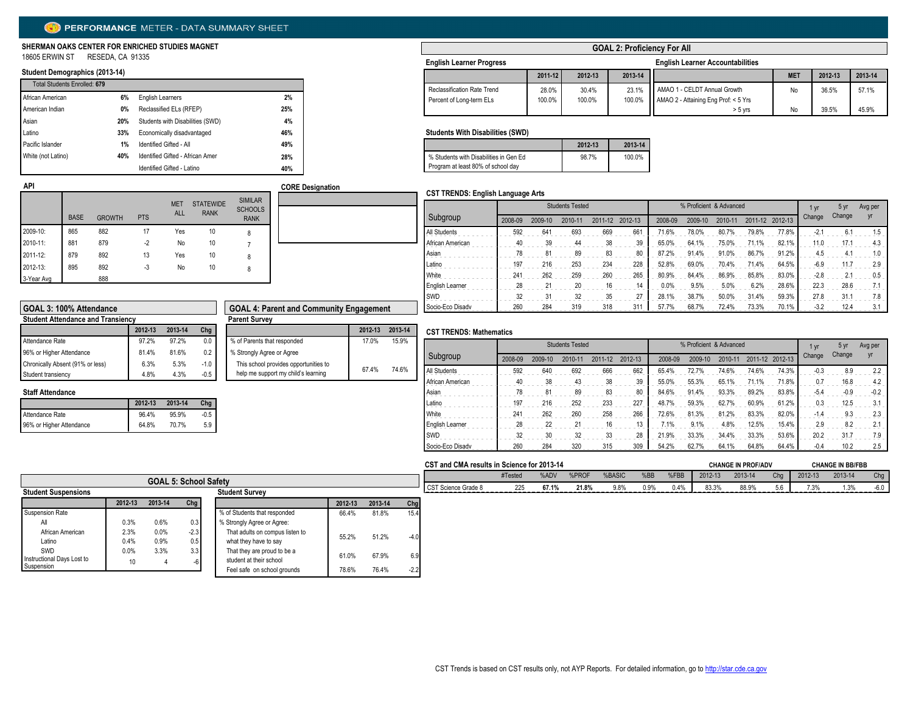# PERFORMANCE METER - DATA SUMMARY SHEET

#### **SHERMAN OAKS CENTER FOR ENRICHED STUDIES MAGNET** 18605 ERWIN ST RESEDA, CA 91335

## **Student Demographics (2013-14)**

**API**

| Total Students Enrolled: 679 |     |                                  |     |
|------------------------------|-----|----------------------------------|-----|
| African American             | 6%  | <b>English Learners</b>          | 2%  |
| American Indian              | 0%  | Reclassified ELs (RFEP)          | 25% |
| Asian                        | 20% | Students with Disabilities (SWD) | 4%  |
| Latino                       | 33% | Economically disadvantaged       | 46% |
| Pacific Islander             | 1%  | Identified Gifted - All          | 49% |
| White (not Latino)           | 40% | Identified Gifted - African Amer | 28% |
|                              |     | Identified Gifted - Latino       | 40% |

## **GOAL 2: Proficiency For All**

| <b>English Learner Progress</b> |         |         |         | <b>English Learner Accountabilities</b> |            |         |         |  |  |  |  |
|---------------------------------|---------|---------|---------|-----------------------------------------|------------|---------|---------|--|--|--|--|
|                                 | 2011-12 | 2012-13 | 2013-14 |                                         | <b>MET</b> | 2012-13 | 2013-14 |  |  |  |  |
| Reclassification Rate Trend     | 28.0%   | 30.4%   | 23.1%   | AMAO 1 - CELDT Annual Growth            | No         | 36.5%   | 57.1%   |  |  |  |  |
| Percent of Long-term ELs        | 100.0%  | 100.0%  | 100.0%  | AMAO 2 - Attaining Eng Prof: < 5 Yrs    |            |         |         |  |  |  |  |
|                                 |         |         |         | $> 5$ vrs                               | No         | 39.5%   | 45.9%   |  |  |  |  |

#### **Students With Disabilities (SWD)**

|                                        | 2012-13 | 2013-14 |
|----------------------------------------|---------|---------|
| % Students with Disabilities in Gen Ed | 98.7%   | 100.0%  |
| Program at least 80% of school day     |         |         |

#### **CST TRENDS: English Language Arts**

|            | <b>BASE</b> | <b>GROWTH</b> | <b>PTS</b> | <b>MET</b><br><b>ALL</b> | <b>STATEWIDE</b><br><b>RANK</b> | <b>SIMILAR</b><br><b>SCHOOLS</b><br><b>RANK</b> |
|------------|-------------|---------------|------------|--------------------------|---------------------------------|-------------------------------------------------|
| 2009-10:   | 865         | 882           | 17         | Yes                      | 10                              | 8                                               |
| 2010-11:   | 881         | 879           | $-2$       | No                       | 10                              |                                                 |
| 2011-12:   | 879         | 892           | 13         | Yes                      | 10                              | 8                                               |
| 2012-13:   | 895         | 892           | -3         | No                       | 10                              | 8                                               |
| 3-Year Avg |             | 888           |            |                          |                                 |                                                 |

|                  | <b>Students Tested</b> |         |         |         |         | % Proficient & Advanced | 1 yr    | 5 yr    | Avg per |         |        |        |     |
|------------------|------------------------|---------|---------|---------|---------|-------------------------|---------|---------|---------|---------|--------|--------|-----|
| Subgroup         | 2008-09                | 2009-10 | 2010-11 | 2011-12 | 2012-13 | 2008-09                 | 2009-10 | 2010-11 | 2011-12 | 2012-13 | Change | Change | Vr  |
| All Students     | 592                    | 641     | 693     | 669     | 661     | 71.6%                   | 78.0%   | 80.7%   | 79.8%   | 77.8%   | $-2.1$ | 6.1    | 1.5 |
| African American | 40                     | 39      | 44      | 38      | 39      | 65.0%                   | 64.1%   | 75.0%   | 71.1%   | 82.1%   | 11.0   | 17.1   | 4.3 |
| Asian            | 78                     | 81      | 89      | 83      | 80      | 87.2%                   | 91.4%   | 91.0%   | 86.7%   | 91.2%   | 4.5    | 4.1    | 1.0 |
| Latino           | 197                    | 216     | 253     | 234     | 228     | 52.8%                   | 69.0%   | 70.4%   | 71.4%   | 64.5%   | $-6.9$ | 11.7   | 2.9 |
| White            | 241                    | 262     | 259     | 260     | 265     | 80.9%                   | 84.4%   | 86.9%   | 85.8%   | 83.0%   | $-2.8$ | 2.1    | 0.5 |
| English Learner  | 28                     | 21      | 20      | 16      | 14      | 0.0%                    | 9.5%    | 5.0%    | 6.2%    | 28.6%   | 22.3   | 28.6   | 7.1 |
| SWD              | 32                     | 31      | 32      | 35      | 27      | 28.1%                   | 38.7%   | 50.0%   | 31.4%   | 59.3%   | 27.8   | 31.1   | 7.8 |
| Socio-Eco Disadv | 260                    | 284     | 319     | 318     | 311     | 57.7%                   | 68.7%   | 72.4%   | 73.3%   | 70.1%   | $-3.2$ | 12.4   | 3.1 |

| GOAL 3: 100% Attendance                  |         |         |        | <b>GOAL 4: Parent and Community Engagement</b> |         |  |
|------------------------------------------|---------|---------|--------|------------------------------------------------|---------|--|
| <b>Student Attendance and Transiency</b> |         |         |        | <b>Parent Survey</b>                           |         |  |
|                                          | 2012-13 | 2013-14 | Chg    |                                                | 2012-13 |  |
| Attendance Rate                          | 97.2%   | 97.2%   | 0.0    | % of Parents that responded                    | 17.0%   |  |
| 96% or Higher Attendance                 | 81.4%   | 81.6%   | 0.2    | % Strongly Agree or Agree                      |         |  |
| Chronically Absent (91% or less)         | 6.3%    | 5.3%    | $-1.0$ | This school provides opportunities to          |         |  |
| Student transiency                       | 4.8%    | 4.3%    | $-0.5$ | help me support my child's learning            | 67.4%   |  |

# **Staff Attendance**

|                          | 2012-13 | 2013-14 | $Chg$    |
|--------------------------|---------|---------|----------|
| Attendance Rate          | 96.4%   | 95.9%   | $-0.5$ I |
| 96% or Higher Attendance | 64.8%   | 70.7%   | 5.9      |

| <b>GOAL 4: Parent and Community Engagement</b>                               |         |         |
|------------------------------------------------------------------------------|---------|---------|
| <b>Parent Survey</b>                                                         |         |         |
|                                                                              | 2012-13 | 2013-14 |
| % of Parents that responded                                                  | 17 0%   | 15.9%   |
| % Strongly Agree or Agree                                                    |         |         |
| This school provides opportunities to<br>help me support my child's learning | 67.4%   | 74.6%   |
|                                                                              |         |         |

**CORE Designation**

#### **CST TRENDS: Mathematics**

|                  |         | % Proficient & Advanced |         |         | I yr    | 5 yr    | Avg per |         |         |         |        |        |        |
|------------------|---------|-------------------------|---------|---------|---------|---------|---------|---------|---------|---------|--------|--------|--------|
| Subgroup         | 2008-09 | 2009-10                 | 2010-11 | 2011-12 | 2012-13 | 2008-09 | 2009-10 | 2010-11 | 2011-12 | 2012-13 | Change | Change | yr     |
| All Students     | 592     | 640                     | 692     | 666     | 662     | 65.4%   | 72.7%   | 74.6%   | 74.6%   | 74.3%   | $-0.3$ | 8.9    | 2.2    |
| African American | 40      | 38                      | 43      | 38      | 39      | 55.0%   | 55.3%   | 65.1%   | 71.1%   | 71.8%   | 0.7    | 16.8   | 4.2    |
| Asian            | 78      | 81                      | 89      | 83      | 80      | 84.6%   | 91.4%   | 93.3%   | 89.2%   | 83.8%   | $-5.4$ | $-0.9$ | $-0.2$ |
| Latino           | 197     | 216                     | 252     | 233     | 227     | 48.7%   | 59.3%   | 62.7%   | 60.9%   | 61.2%   | 0.3    | 12.5   | 3.1    |
| White            | 241     | 262                     | 260     | 258     | 266     | 72.6%   | 81.3%   | 81.2%   | 83.3%   | 82.0%   | $-1.4$ | 9.3    | 2.3    |
| English Learner  | 28      | 22                      | 21      | 16      | 13      | 7.1%    | 9.1%    | 4.8%    | 12.5%   | 15.4%   | 2.9    | 8.2    | 2.1    |
| SWD              | 32      | 30                      | 32      | 33      | 28      | 21.9%   | 33.3%   | 34.4%   | 33.3%   | 53.6%   | 20.2   | 31.7   | 7.9    |
| Socio-Eco Disadv | 260     | 284                     | 320     | 315     | 309     | 54.2%   | 62.7%   | 64.1%   | 64.8%   | 64.4%   | $-0.4$ | 10.2   | 2.5    |

|                                                                                     |         |         |            |                                 |                     |         |        | CST and CMA results in Science for 2013-14 |        |      |      |         |         |     |         | <b>CHANGE IN PROF/ADV</b> |        |  | <b>CHANGE IN BB/FBB</b> |  |
|-------------------------------------------------------------------------------------|---------|---------|------------|---------------------------------|---------------------|---------|--------|--------------------------------------------|--------|------|------|---------|---------|-----|---------|---------------------------|--------|--|-------------------------|--|
|                                                                                     |         |         |            |                                 |                     | #Tested | %ADV   | %PROF                                      | %BASIC | %BB  | %FBB | 2012-13 | 2013-14 | Cha | 2012-13 | 2013-14                   | Chg    |  |                         |  |
| <b>GOAL 5: School Safety</b><br><b>Student Suspensions</b><br><b>Student Survey</b> |         |         |            |                                 | CST Science Grade 8 | 225     | 67.1%  | 21.8%                                      | 9.8%   | 0.9% | 0.4% | 83.3%   | 88.9%   |     | 7.3%    | 1.3%                      | $-6.0$ |  |                         |  |
|                                                                                     | 2012-13 | 2013-14 | Chg        |                                 | 2012-13             | 2013-14 | Chg    |                                            |        |      |      |         |         |     |         |                           |        |  |                         |  |
| <b>Suspension Rate</b>                                                              |         |         |            | % of Students that responded    | 66.4%               | 81.8%   | 15.4   |                                            |        |      |      |         |         |     |         |                           |        |  |                         |  |
|                                                                                     | 0.3%    | 0.6%    | $0.3 \mid$ | % Strongly Agree or Agree:      |                     |         |        |                                            |        |      |      |         |         |     |         |                           |        |  |                         |  |
| African American                                                                    | 2.3%    | 0.0%    | $-2.3$     | That adults on compus listen to | 55.2%               | 51.2%   | -40    |                                            |        |      |      |         |         |     |         |                           |        |  |                         |  |
| Latino                                                                              | 0.4%    | 0.9%    | 0.5        | what they have to say           |                     |         |        |                                            |        |      |      |         |         |     |         |                           |        |  |                         |  |
| SWD                                                                                 | 0.0%    | 3.3%    | 3.3        | That they are proud to be a     | 61.0%               | 67.9%   | 6.9    |                                            |        |      |      |         |         |     |         |                           |        |  |                         |  |
| Instructional Days Lost to<br>Suspension                                            |         |         |            | student at their school         |                     |         |        |                                            |        |      |      |         |         |     |         |                           |        |  |                         |  |
|                                                                                     |         |         |            | Feel safe on school grounds     | 78.6%               | 76.4%   | $-2.2$ |                                            |        |      |      |         |         |     |         |                           |        |  |                         |  |